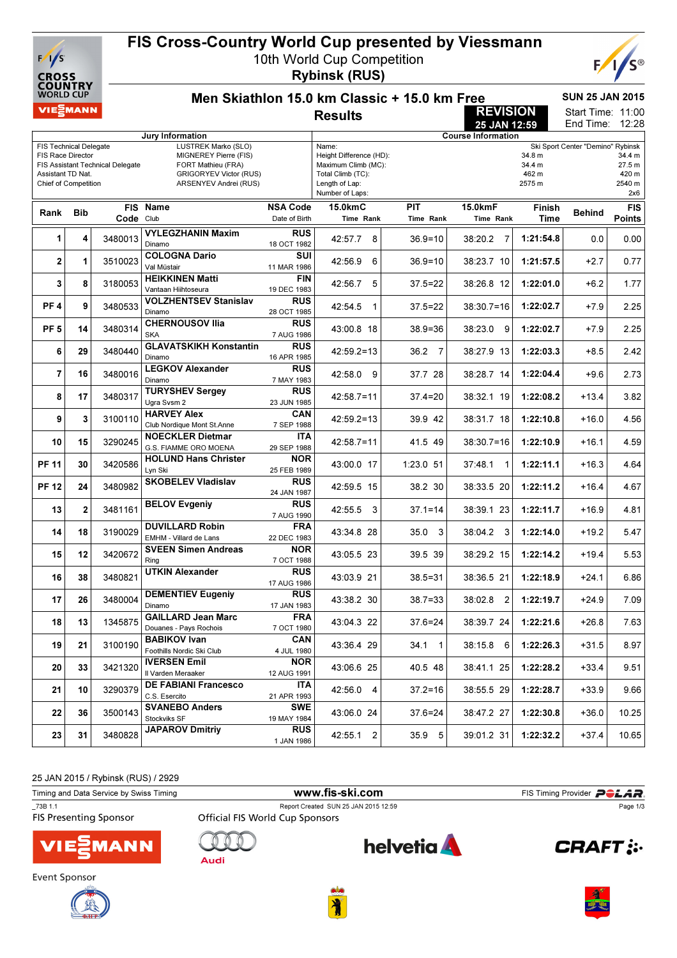

## FIS Cross-Country World Cup presented by Viessmann

10th World Cup Competition

Rybinsk (RUS)



| COUNIKY<br><b>WORLD CUP</b>                                                                            |              |                                  | <b>SUN 25 JAN 2015</b><br>Men Skiathlon 15.0 km Classic + 15.0 km Free                                |                           |                                                                                                          |                        |                           |                                     |                                   |                                            |  |  |
|--------------------------------------------------------------------------------------------------------|--------------|----------------------------------|-------------------------------------------------------------------------------------------------------|---------------------------|----------------------------------------------------------------------------------------------------------|------------------------|---------------------------|-------------------------------------|-----------------------------------|--------------------------------------------|--|--|
| VIE EMANN                                                                                              |              |                                  | <b>REVISION</b><br><b>Results</b>                                                                     |                           |                                                                                                          |                        |                           |                                     |                                   |                                            |  |  |
|                                                                                                        |              |                                  |                                                                                                       |                           |                                                                                                          |                        | 25 JAN 12:59              |                                     | End Time:                         | 12:28                                      |  |  |
|                                                                                                        |              |                                  | Jury Information<br>LUSTREK Marko (SLO)                                                               |                           | Name:                                                                                                    |                        | <b>Course Information</b> |                                     |                                   |                                            |  |  |
| <b>FIS Technical Delegate</b><br><b>FIS Race Director</b><br>Assistant TD Nat.<br>Chief of Competition |              | FIS Assistant Technical Delegate | MIGNEREY Pierre (FIS)<br>FORT Mathieu (FRA)<br><b>GRIGORYEV Victor (RUS)</b><br>ARSENYEV Andrei (RUS) |                           | Height Difference (HD):<br>Maximum Climb (MC):<br>Total Climb (TC):<br>Length of Lap:<br>Number of Laps: |                        |                           | 34.8 m<br>34.4 m<br>462 m<br>2575 m | Ski Sport Center "Demino" Rybinsk | 34.4 m<br>27.5 m<br>420 m<br>2540 m<br>2x6 |  |  |
| Rank                                                                                                   | <b>Bib</b>   |                                  | FIS Name                                                                                              | <b>NSA Code</b>           | 15.0kmC                                                                                                  | <b>PIT</b>             | 15.0kmF                   | <b>Finish</b>                       | <b>Behind</b>                     | <b>FIS</b>                                 |  |  |
|                                                                                                        |              | Code Club                        |                                                                                                       | Date of Birth             | Time Rank                                                                                                | Time Rank              | Time Rank                 | Time                                |                                   | Points                                     |  |  |
| 1                                                                                                      | 4            | 3480013                          | VYLEGZHANIN Maxim<br>Dinamo                                                                           | RUS<br>18 OCT 1982        | 42:57.7<br>8                                                                                             | $36.9 = 10$            | 38:20.2<br>7              | 1:21:54.8                           | 0.0                               | 0.00                                       |  |  |
| 2                                                                                                      | 1            | 3510023                          | <b>COLOGNA Dario</b><br>Val Müstair                                                                   | SUI<br>11 MAR 1986        | 42:56.9<br>6                                                                                             | $36.9 = 10$            | 38:23.7 10                | 1:21:57.5                           | $+2.7$                            | 0.77                                       |  |  |
| 3                                                                                                      | 8            | 3180053                          | <b>HEIKKINEN Matti</b><br>Vantaan Hiihtoseura                                                         | <b>FIN</b><br>19 DEC 1983 | 5<br>42:56.7                                                                                             | 37.5=22                | 38:26.8 12                | 1:22:01.0                           | $+6.2$                            | 1.77                                       |  |  |
| PF <sub>4</sub>                                                                                        | 9            | 3480533                          | <b>VOLZHENTSEV Stanislav</b><br>Dinamo                                                                | <b>RUS</b><br>28 OCT 1985 | 42:54.5<br>1                                                                                             | 37.5=22                | $38:30.7=16$              | 1:22:02.7                           | $+7.9$                            | 2.25                                       |  |  |
| PF <sub>5</sub>                                                                                        | 14           | 3480314                          | <b>CHERNOUSOV Ilia</b><br><b>SKA</b>                                                                  | <b>RUS</b><br>7 AUG 1986  | 43:00.8 18                                                                                               | $38.9 = 36$            | 38:23.0<br>-9             | 1:22:02.7                           | $+7.9$                            | 2.25                                       |  |  |
| 6                                                                                                      | 29           | 3480440                          | <b>GLAVATSKIKH Konstantin</b><br>Dinamo                                                               | <b>RUS</b><br>16 APR 1985 | $42:59.2=13$                                                                                             | 36.2<br>$\overline{7}$ | 38:27.9 13                | 1:22:03.3                           | $+8.5$                            | 2.42                                       |  |  |
| $\overline{7}$                                                                                         | 16           | 3480016                          | <b>LEGKOV Alexander</b><br>Dinamo                                                                     | <b>RUS</b><br>7 MAY 1983  | 42:58.0 9                                                                                                | 37.7 28                | 38:28.7 14                | 1:22:04.4                           | $+9.6$                            | 2.73                                       |  |  |
| 8                                                                                                      | 17           | 3480317                          | <b>TURYSHEV Sergey</b><br>Ugra Svsm 2                                                                 | <b>RUS</b><br>23 JUN 1985 | $42:58.7=11$                                                                                             | 37.4=20                | 38:32.1 19                | 1:22:08.2                           | $+13.4$                           | 3.82                                       |  |  |
| 9                                                                                                      | 3            | 3100110                          | <b>HARVEY Alex</b><br>Club Nordique Mont St.Anne                                                      | CAN<br>7 SEP 1988         | $42:59.2=13$                                                                                             | 39.9 42                | 38:31.7 18                | 1:22:10.8                           | $+16.0$                           | 4.56                                       |  |  |
| 10                                                                                                     | 15           | 3290245                          | <b>NOECKLER Dietmar</b><br>G.S. FIAMME ORO MOENA                                                      | <b>ITA</b><br>29 SEP 1988 | $42:58.7=11$                                                                                             | 41.5 49                | $38:30.7=16$              | 1:22:10.9                           | $+16.1$                           | 4.59                                       |  |  |
| <b>PF 11</b>                                                                                           | 30           | 3420586                          | <b>HOLUND Hans Christer</b><br>Lyn Ski                                                                | <b>NOR</b><br>25 FEB 1989 | 43:00.0 17                                                                                               | $1:23.0$ 51            | 37:48.1                   | 1:22:11.1                           | $+16.3$                           | 4.64                                       |  |  |
| <b>PF 12</b>                                                                                           | 24           | 3480982                          | <b>SKOBELEV Vladislav</b>                                                                             | <b>RUS</b><br>24 JAN 1987 | 42:59.5 15                                                                                               | 38.2 30                | 38:33.5 20                | 1:22:11.2                           | +16.4                             | 4.67                                       |  |  |
| 13                                                                                                     | $\mathbf{2}$ | 3481161                          | <b>BELOV Evgeniy</b>                                                                                  | <b>RUS</b><br>7 AUG 1990  | 42:55.5<br>3                                                                                             | $37.1 = 14$            | 38:39.1 23                | 1:22:11.7                           | $+16.9$                           | 4.81                                       |  |  |
| 14                                                                                                     | 18           | 3190029                          | <b>DUVILLARD Robin</b><br>EMHM - Villard de Lans                                                      | FRA<br>22 DEC 1983        | 43:34.8 28                                                                                               | 35.0<br>3              | 38:04.2<br>3              | 1:22:14.0                           | $+19.2$                           | 5.47                                       |  |  |
| 15                                                                                                     | 12           | 3420672                          | <b>SVEEN Simen Andreas</b><br>Ring                                                                    | <b>NOR</b><br>7 OCT 1988  | 43:05.5 23                                                                                               | 39.5 39                | 38:29.2 15                | 1:22:14.2                           | +19.4                             | 5.53                                       |  |  |
| 16                                                                                                     | 38           | 3480821                          | <b>UTKIN Alexander</b>                                                                                | <b>RUS</b><br>17 AUG 1986 | 43:03.9 21                                                                                               | $38.5 = 31$            | 38:36.5 21                | 1:22:18.9                           | +24.1                             | 6.86                                       |  |  |
| 17                                                                                                     | 26           | 3480004                          | <b>DEMENTIEV Eugeniy</b><br>Dinamo                                                                    | <b>RUS</b><br>17 JAN 1983 | 43:38.2 30                                                                                               | $38.7 = 33$            | 38:02.8<br>2              | 1:22:19.7                           | +24.9                             | 7.09                                       |  |  |
| 18                                                                                                     | 13           | 1345875                          | <b>GAILLARD Jean Marc</b><br>Douanes - Pays Rochois                                                   | <b>FRA</b><br>7 OCT 1980  | 43:04.3 22                                                                                               | $37.6 = 24$            | 38:39.7 24                | 1:22:21.6                           | $+26.8$                           | 7.63                                       |  |  |
| 19                                                                                                     | 21           | 3100190                          | <b>BABIKOV Ivan</b><br>Foothills Nordic Ski Club                                                      | <b>CAN</b><br>4 JUL 1980  | 43:36.4 29                                                                                               | $34.1 \quad 1$         | 38:15.8 6                 | 1:22:26.3                           | $+31.5$                           | 8.97                                       |  |  |
| 20                                                                                                     | 33           | 3421320                          | <b>IVERSEN Emil</b><br>Il Varden Meraaker                                                             | <b>NOR</b><br>12 AUG 1991 | 43:06.6 25                                                                                               | 40.5 48                | 38:41.1 25                | 1:22:28.2                           | $+33.4$                           | 9.51                                       |  |  |
| 21                                                                                                     | 10           | 3290379                          | <b>DE FABIANI Francesco</b><br>C.S. Esercito                                                          | <b>ITA</b><br>21 APR 1993 | 42:56.0 4                                                                                                | $37.2 = 16$            | 38:55.5 29                | 1:22:28.7                           | $+33.9$                           | 9.66                                       |  |  |
| 22                                                                                                     | 36           | 3500143                          | <b>SVANEBO Anders</b><br>Stockviks SF                                                                 | <b>SWE</b><br>19 MAY 1984 | 43:06.0 24                                                                                               | 37.6=24                | 38:47.2 27                | 1:22:30.8                           | $+36.0$                           | 10.25                                      |  |  |
| 23                                                                                                     | 31           | 3480828                          | <b>JAPAROV Dmitriy</b>                                                                                | RUS<br>1 JAN 1986         | 42:55.1<br>$\overline{2}$                                                                                | 35.9<br>5              | 39:01.2 31                | 1:22:32.2                           | $+37.4$                           | 10.65                                      |  |  |

25 JAN 2015 / Rybinsk (RUS) / 2929

Timing and Data Service by Swiss Timing **WWW.fis-Ski.com** FIS Timing Provider PCLAR. T<sub>73B 1.1</sub><br>
Report Created SUN 25 JAN 2015 12:59<br> **FIS Presenting Sponsor**<br> **Official FIS World Cup Sponsors** Page 1/3**helvetia** n  $\mathbb{C}$ **ZMANN CRAFT: Audi** 



Event Sponsor





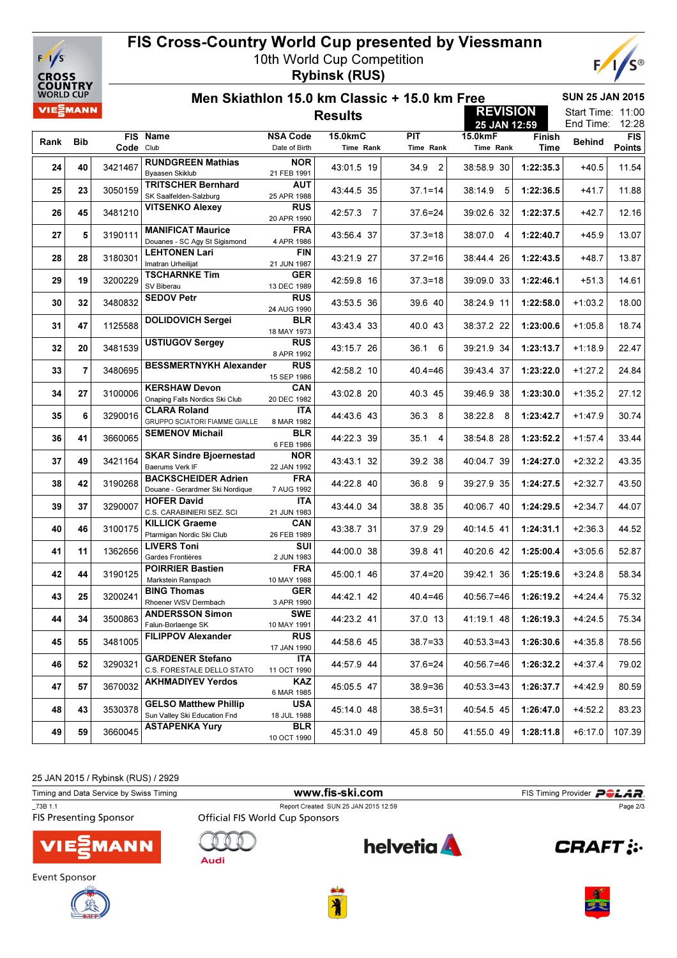

## FIS Cross-Country World Cup presented by Viessmann 10th World Cup Competition

Rybinsk (RUS)



| <b>WORLD CUP</b> | JUUN I N I     |           | <b>SUN 25 JAN 2015</b><br>Men Skiathlon 15.0 km Classic + 15.0 km Free   |                                                   |                      |                         |                      |                |               |                                         |  |
|------------------|----------------|-----------|--------------------------------------------------------------------------|---------------------------------------------------|----------------------|-------------------------|----------------------|----------------|---------------|-----------------------------------------|--|
|                  | VIE EMANN      |           |                                                                          | <b>REVISION</b><br><b>Results</b><br>25 JAN 12:59 |                      |                         |                      |                |               | Start Time: 11:00<br>12:28<br>End Time: |  |
| Rank             | <b>Bib</b>     | Code Club | FIS Name                                                                 | <b>NSA Code</b><br>Date of Birth                  | 15.0kmC<br>Time Rank | <b>PIT</b><br>Time Rank | 15.0kmF<br>Time Rank | Finish<br>Time | <b>Behind</b> | <b>FIS</b><br><b>Points</b>             |  |
| 24               | 40             | 3421467   | <b>RUNDGREEN Mathias</b><br>Byaasen Skiklub                              | <b>NOR</b><br>21 FEB 1991                         | 43:01.5 19           | 34.9<br>$\overline{2}$  | 38:58.9 30           | 1:22:35.3      | $+40.5$       | 11.54                                   |  |
| 25               | 23             | 3050159   | <b>TRITSCHER Bernhard</b><br>SK Saalfelden-Salzburg                      | AUT<br>25 APR 1988                                | 43:44.5 35           | 37.1=14                 | 38:14.9<br>5         | 1:22:36.5      | +41.7         | 11.88                                   |  |
| 26               | 45             | 3481210   | <b>VITSENKO Alexey</b>                                                   | <b>RUS</b><br>20 APR 1990                         | 42:57.3<br>7         | 37.6=24                 | 39:02.6 32           | 1:22:37.5      | $+42.7$       | 12.16                                   |  |
| 27               | 5              | 3190111   | <b>MANIFICAT Maurice</b><br>Douanes - SC Agy St Sigismond                | <b>FRA</b><br>4 APR 1986                          | 43:56.4 37           | $37.3 = 18$             | 38:07.0 4            | 1:22:40.7      | $+45.9$       | 13.07                                   |  |
| 28               | 28             | 3180301   | <b>LEHTONEN Lari</b><br>Imatran Urheilijat                               | FIN<br>21 JUN 1987                                | 43:21.9 27           | $37.2 = 16$             | 38:44.4 26           | 1:22:43.5      | +48.7         | 13.87                                   |  |
| 29               | 19             | 3200229   | <b>TSCHARNKE Tim</b><br>SV Biberau                                       | GER<br>13 DEC 1989                                | 42:59.8 16           | 37.3=18                 | 39:09.0 33           | 1:22:46.1      | $+51.3$       | 14.61                                   |  |
| 30               | 32             | 3480832   | <b>SEDOV Petr</b>                                                        | <b>RUS</b><br>24 AUG 1990                         | 43:53.5 36           | 39.6 40                 | 38:24.9 11           | 1:22:58.0      | $+1:03.2$     | 18.00                                   |  |
| 31               | 47             | 1125588   | <b>DOLIDOVICH Sergei</b>                                                 | BLR<br>18 MAY 1973                                | 43:43.4 33           | 40.0 43                 | 38:37.2 22           | 1:23:00.6      | $+1:05.8$     | 18.74                                   |  |
| 32               | 20             | 3481539   | <b>USTIUGOV Sergey</b>                                                   | <b>RUS</b><br>8 APR 1992                          | 43:15.7 26           | 36.1<br>6               | 39:21.9 34           | 1:23:13.7      | $+1:18.9$     | 22.47                                   |  |
| 33               | $\overline{7}$ | 3480695   | <b>BESSMERTNYKH Alexander</b>                                            | <b>RUS</b><br>15 SEP 1986                         | 42:58.2 10           | 40.4=46                 | 39:43.4 37           | 1:23:22.0      | $+1:27.2$     | 24.84                                   |  |
| 34               | 27             | 3100006   | <b>KERSHAW Devon</b><br>Onaping Falls Nordics Ski Club                   | CAN<br>20 DEC 1982                                | 43:02.8 20           | 40.3 45                 | 39:46.9 38           | 1:23:30.0      | $+1:35.2$     | 27.12                                   |  |
| 35               | 6              | 3290016   | <b>CLARA Roland</b><br>GRUPPO SCIATORI FIAMME GIALLE                     | ITA<br>8 MAR 1982                                 | 44:43.6 43           | 36.3<br>8               | 38:22.8<br>8         | 1:23:42.7      | $+1:47.9$     | 30.74                                   |  |
| 36               | 41             | 3660065   | <b>SEMENOV Michail</b><br><b>SKAR Sindre Bjoernestad</b>                 | <b>BLR</b><br>6 FEB 1986<br><b>NOR</b>            | 44:22.3 39           | 35.1<br>4               | 38:54.8 28           | 1:23:52.2      | $+1:57.4$     | 33.44                                   |  |
| 37               | 49             | 3421164   | Baerums Verk IF<br><b>BACKSCHEIDER Adrien</b>                            | 22 JAN 1992                                       | 43:43.1 32           | 39.2 38                 | 40:04.7 39           | 1:24:27.0      | $+2:32.2$     | 43.35                                   |  |
| 38               | 42             | 3190268   | Douane - Gerardmer Ski Nordique                                          | <b>FRA</b><br>7 AUG 1992                          | 44:22.8 40           | 36.8<br>9               | 39:27.9 35           | 1:24:27.5      | $+2:32.7$     | 43.50                                   |  |
| 39               | 37             | 3290007   | <b>HOFER David</b><br>C.S. CARABINIERI SEZ. SCI                          | ITA<br>21 JUN 1983                                | 43:44.0 34           | 38.8 35                 | 40:06.7 40           | 1:24:29.5      | $+2:34.7$     | 44.07                                   |  |
| 40               | 46             | 3100175   | <b>KILLICK Graeme</b><br>Ptarmigan Nordic Ski Club<br><b>LIVERS Toni</b> | CAN<br>26 FEB 1989<br>SUI                         | 43:38.7 31           | 37.9 29                 | 40:14.5 41           | 1:24:31.1      | $+2:36.3$     | 44.52                                   |  |
| 41               | 11             | 1362656   | Gardes Frontières<br><b>POIRRIER Bastien</b>                             | 2 JUN 1983<br><b>FRA</b>                          | 44:00.0 38           | 39.8 41                 | 40:20.6 42           | 1:25:00.4      | $+3:05.6$     | 52.87                                   |  |
| 42               | 44             | 3190125   | Markstein Ranspach<br><b>BING Thomas</b>                                 | 10 MAY 1988<br><b>GER</b>                         | 45:00.1 46           | $37.4 = 20$             | 39:42.1 36           | 1:25:19.6      | $+3:24.8$     | 58.34                                   |  |
| 43               | 25             | 3200241   | Rhoener WSV Dermbach<br><b>ANDERSSON Simon</b>                           | 3 APR 1990<br><b>SWE</b>                          | 44:42.1 42           | $40.4 = 46$             | 40:56.7=46           | 1:26:19.2      | $+4:24.4$     | 75.32                                   |  |
| 44               | 34             | 3500863   | Falun-Borlaenge SK<br><b>FILIPPOV Alexander</b>                          | 10 MAY 1991<br><b>RUS</b>                         | 44:23.2 41           | 37.0 13                 | 41:19.1 48           | 1:26:19.3      | $+4:24.5$     | 75.34                                   |  |
| 45               | 55             | 3481005   | <b>GARDENER Stefano</b>                                                  | 17 JAN 1990<br><b>ITA</b>                         | 44:58.6 45           | $38.7 = 33$             | $40:53.3=43$         | 1:26:30.6      | $+4:35.8$     | 78.56                                   |  |
| 46               | 52             | 3290321   | C.S. FORESTALE DELLO STATO<br><b>AKHMADIYEV Yerdos</b>                   | 11 OCT 1990<br>KAZ                                | 44:57.9 44           | $37.6 = 24$             | $40:56.7=46$         | 1:26:32.2      | $+4:37.4$     | 79.02                                   |  |
| 47               | 57             | 3670032   | <b>GELSO Matthew Phillip</b>                                             | 6 MAR 1985<br><b>USA</b>                          | 45:05.5 47           | $38.9 = 36$             | $40:53.3=43$         | 1:26:37.7      | $+4:42.9$     | 80.59                                   |  |
| 48               | 43             | 3530378   | Sun Valley Ski Education Fnd<br><b>ASTAPENKA Yury</b>                    | 18 JUL 1988<br><b>BLR</b>                         | 45:14.0 48           | $38.5 = 31$             | 40:54.5 45           | 1:26:47.0      | $+4:52.2$     | 83.23                                   |  |
| 49               | 59             | 3660045   |                                                                          | 10 OCT 1990                                       | 45:31.0 49           | 45.8 50                 | 41:55.0 49           | 1:28:11.8      | $+6:17.0$     | 107.39                                  |  |

25 JAN 2015 / Rybinsk (RUS) / 2929

Timing and Data Service by Swiss Timing **Example 19th and Data Service by Swiss Timing WWW.fis-ski.com** FIS Timing Provider **POLAR**<br>FIS Presenting Sponsor Official FIS World Cup Sponsors Page 2/3<br>FIS Presenting Sponsor Off Report Created SUN 25 JAN 2015 12:59<br>Official FIS World Cup Sponsors Page 2/3**helvetia** Ø  $\bigcap$ **CRAFT: :** MANN **Audi**